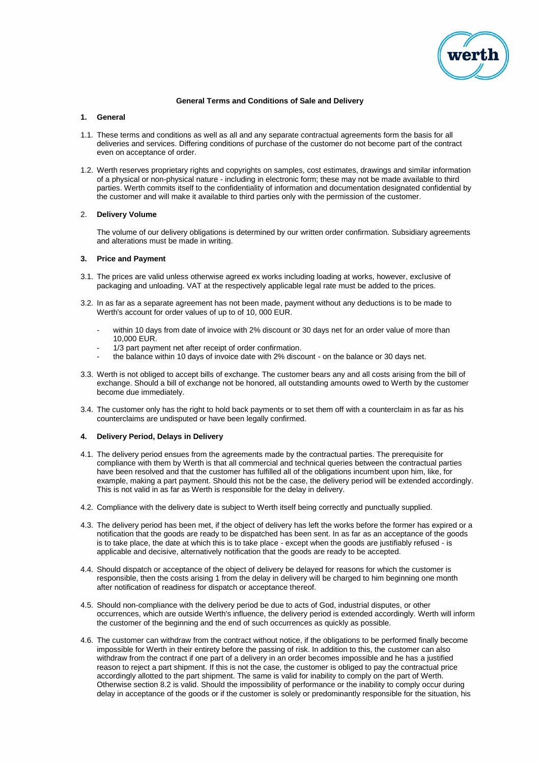

### **General Terms and Conditions of Sale and Delivery**

# **1. General**

- 1.1. These terms and conditions as well as all and any separate contractual agreements form the basis for all deliveries and services. Differing conditions of purchase of the customer do not become part of the contract even on acceptance of order.
- 1.2. Werth reserves proprietary rights and copyrights on samples, cost estimates, drawings and similar information of a physical or non-physical nature - including in electronic form; these may not be made available to third parties. Werth commits itself to the confidentiality of information and documentation designated confidential by the customer and will make it available to third parties only with the permission of the customer.

# 2. **Delivery Volume**

The volume of our delivery obligations is determined by our written order confirmation. Subsidiary agreements and alterations must be made in writing.

### **3. Price and Payment**

- 3.1. The prices are valid unless otherwise agreed ex works including loading at works, however, exclusive of packaging and unloading. VAT at the respectively applicable legal rate must be added to the prices.
- 3.2. In as far as a separate agreement has not been made, payment without any deductions is to be made to Werth's account for order values of up to of 10, 000 EUR.
	- within 10 days from date of invoice with 2% discount or 30 days net for an order value of more than 10,000 EUR.
	- 1/3 part payment net after receipt of order confirmation.
	- the balance within 10 days of invoice date with 2% discount on the balance or 30 days net.
- 3.3. Werth is not obliged to accept bills of exchange. The customer bears any and all costs arising from the bill of exchange. Should a bill of exchange not be honored, all outstanding amounts owed to Werth by the customer become due immediately.
- 3.4. The customer only has the right to hold back payments or to set them off with a counterclaim in as far as his counterclaims are undisputed or have been legally confirmed.

# **4. Delivery Period, Delays in Delivery**

- 4.1. The delivery period ensues from the agreements made by the contractual parties. The prerequisite for compliance with them by Werth is that all commercial and technical queries between the contractual parties have been resolved and that the customer has fulfilled all of the obligations incumbent upon him, like, for example, making a part payment. Should this not be the case, the delivery period will be extended accordingly. This is not valid in as far as Werth is responsible for the delay in delivery.
- 4.2. Compliance with the delivery date is subject to Werth itself being correctly and punctually supplied.
- 4.3. The delivery period has been met, if the object of delivery has left the works before the former has expired or a notification that the goods are ready to be dispatched has been sent. In as far as an acceptance of the goods is to take place, the date at which this is to take place - except when the goods are justifiably refused - is applicable and decisive, alternatively notification that the goods are ready to be accepted.
- 4.4. Should dispatch or acceptance of the object of delivery be delayed for reasons for which the customer is responsible, then the costs arising 1 from the delay in delivery will be charged to him beginning one month after notification of readiness for dispatch or acceptance thereof.
- 4.5. Should non-compliance with the delivery period be due to acts of God, industrial disputes, or other occurrences, which are outside Werth's influence, the delivery period is extended accordingly. Werth will inform the customer of the beginning and the end of such occurrences as quickly as possible.
- 4.6. The customer can withdraw from the contract without notice, if the obligations to be performed finally become impossible for Werth in their entirety before the passing of risk. In addition to this, the customer can also withdraw from the contract if one part of a delivery in an order becomes impossible and he has a justified reason to reject a part shipment. If this is not the case, the customer is obliged to pay the contractual price accordingly allotted to the part shipment. The same is valid for inability to comply on the part of Werth. Otherwise section 8.2 is valid. Should the impossibility of performance or the inability to comply occur during delay in acceptance of the goods or if the customer is solely or predominantly responsible for the situation, his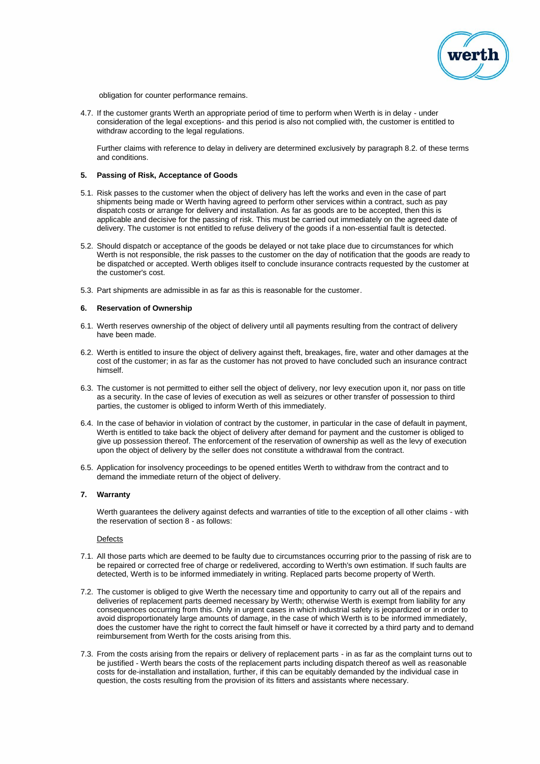

obligation for counter performance remains.

4.7. If the customer grants Werth an appropriate period of time to perform when Werth is in delay - under consideration of the legal exceptions- and this period is also not complied with, the customer is entitled to withdraw according to the legal regulations.

Further claims with reference to delay in delivery are determined exclusively by paragraph 8.2. of these terms and conditions.

#### **5. Passing of Risk, Acceptance of Goods**

- 5.1. Risk passes to the customer when the object of delivery has left the works and even in the case of part shipments being made or Werth having agreed to perform other services within a contract, such as pay dispatch costs or arrange for delivery and installation. As far as goods are to be accepted, then this is applicable and decisive for the passing of risk. This must be carried out immediately on the agreed date of delivery. The customer is not entitled to refuse delivery of the goods if a non-essential fault is detected.
- 5.2. Should dispatch or acceptance of the goods be delayed or not take place due to circumstances for which Werth is not responsible, the risk passes to the customer on the day of notification that the goods are ready to be dispatched or accepted. Werth obliges itself to conclude insurance contracts requested by the customer at the customer's cost.
- 5.3. Part shipments are admissible in as far as this is reasonable for the customer.

#### **6. Reservation of Ownership**

- 6.1. Werth reserves ownership of the object of delivery until all payments resulting from the contract of delivery have been made.
- 6.2. Werth is entitled to insure the object of delivery against theft, breakages, fire, water and other damages at the cost of the customer; in as far as the customer has not proved to have concluded such an insurance contract himself.
- 6.3. The customer is not permitted to either sell the object of delivery, nor levy execution upon it, nor pass on title as a security. In the case of levies of execution as well as seizures or other transfer of possession to third parties, the customer is obliged to inform Werth of this immediately.
- 6.4. In the case of behavior in violation of contract by the customer, in particular in the case of default in payment, Werth is entitled to take back the object of delivery after demand for payment and the customer is obliged to give up possession thereof. The enforcement of the reservation of ownership as well as the levy of execution upon the object of delivery by the seller does not constitute a withdrawal from the contract.
- 6.5. Application for insolvency proceedings to be opened entitles Werth to withdraw from the contract and to demand the immediate return of the object of delivery.

### **7. Warranty**

Werth guarantees the delivery against defects and warranties of title to the exception of all other claims - with the reservation of section 8 - as follows:

#### Defects

- 7.1. All those parts which are deemed to be faulty due to circumstances occurring prior to the passing of risk are to be repaired or corrected free of charge or redelivered, according to Werth's own estimation. If such faults are detected, Werth is to be informed immediately in writing. Replaced parts become property of Werth.
- 7.2. The customer is obliged to give Werth the necessary time and opportunity to carry out all of the repairs and deliveries of replacement parts deemed necessary by Werth; otherwise Werth is exempt from liability for any consequences occurring from this. Only in urgent cases in which industrial safety is jeopardized or in order to avoid disproportionately large amounts of damage, in the case of which Werth is to be informed immediately, does the customer have the right to correct the fault himself or have it corrected by a third party and to demand reimbursement from Werth for the costs arising from this.
- 7.3. From the costs arising from the repairs or delivery of replacement parts in as far as the complaint turns out to be justified - Werth bears the costs of the replacement parts including dispatch thereof as well as reasonable costs for de-installation and installation, further, if this can be equitably demanded by the individual case in question, the costs resulting from the provision of its fitters and assistants where necessary.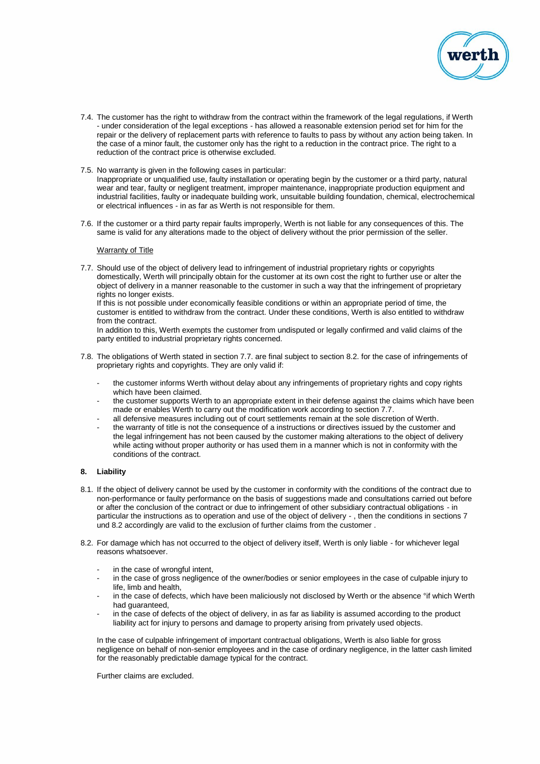

- 7.4. The customer has the right to withdraw from the contract within the framework of the legal regulations, if Werth - under consideration of the legal exceptions - has allowed a reasonable extension period set for him for the repair or the delivery of replacement parts with reference to faults to pass by without any action being taken. In the case of a minor fault, the customer only has the right to a reduction in the contract price. The right to a reduction of the contract price is otherwise excluded.
- 7.5. No warranty is given in the following cases in particular: Inappropriate or unqualified use, faulty installation or operating begin by the customer or a third party, natural wear and tear, faulty or negligent treatment, improper maintenance, inappropriate production equipment and industrial facilities, faulty or inadequate building work, unsuitable building foundation, chemical, electrochemical or electrical influences - in as far as Werth is not responsible for them.
- 7.6. If the customer or a third party repair faults improperly, Werth is not liable for any consequences of this. The same is valid for any alterations made to the object of delivery without the prior permission of the seller.

# **Warranty of Title**

7.7. Should use of the object of delivery lead to infringement of industrial proprietary rights or copyrights domestically, Werth will principally obtain for the customer at its own cost the right to further use or alter the object of delivery in a manner reasonable to the customer in such a way that the infringement of proprietary rights no longer exists.

If this is not possible under economically feasible conditions or within an appropriate period of time, the customer is entitled to withdraw from the contract. Under these conditions, Werth is also entitled to withdraw from the contract.

In addition to this, Werth exempts the customer from undisputed or legally confirmed and valid claims of the party entitled to industrial proprietary rights concerned.

- 7.8. The obligations of Werth stated in section 7.7. are final subject to section 8.2. for the case of infringements of proprietary rights and copyrights. They are only valid if:
	- the customer informs Werth without delay about any infringements of proprietary rights and copy rights which have been claimed.
	- the customer supports Werth to an appropriate extent in their defense against the claims which have been made or enables Werth to carry out the modification work according to section 7.7.
	- all defensive measures including out of court settlements remain at the sole discretion of Werth.
	- the warranty of title is not the consequence of a instructions or directives issued by the customer and the legal infringement has not been caused by the customer making alterations to the object of delivery while acting without proper authority or has used them in a manner which is not in conformity with the conditions of the contract.

#### **8. Liability**

- 8.1. If the object of delivery cannot be used by the customer in conformity with the conditions of the contract due to non-performance or faulty performance on the basis of suggestions made and consultations carried out before or after the conclusion of the contract or due to infringement of other subsidiary contractual obligations - in particular the instructions as to operation and use of the object of delivery - , then the conditions in sections 7 und 8.2 accordingly are valid to the exclusion of further claims from the customer .
- 8.2. For damage which has not occurred to the object of delivery itself, Werth is only liable for whichever legal reasons whatsoever.
	- in the case of wrongful intent,
	- in the case of gross negligence of the owner/bodies or senior employees in the case of culpable injury to life, limb and health,
	- in the case of defects, which have been maliciously not disclosed by Werth or the absence °if which Werth had guaranteed,
	- in the case of defects of the object of delivery, in as far as liability is assumed according to the product liability act for injury to persons and damage to property arising from privately used objects.

In the case of culpable infringement of important contractual obligations, Werth is also liable for gross negligence on behalf of non-senior employees and in the case of ordinary negligence, in the latter cash limited for the reasonably predictable damage typical for the contract.

Further claims are excluded.